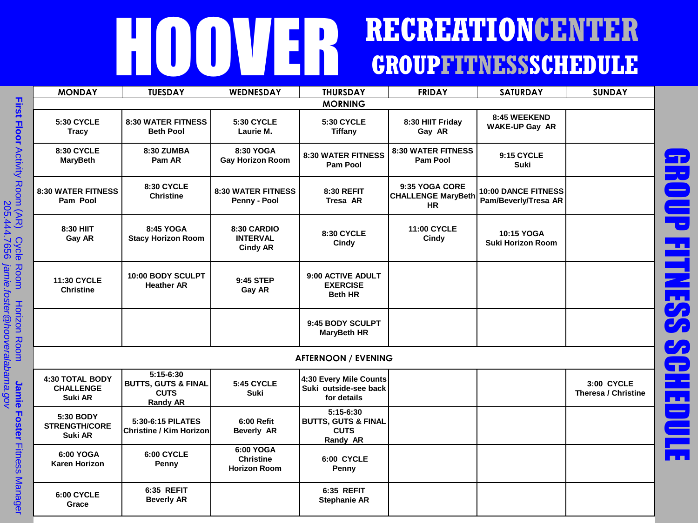## HOOVER **RECREATIONCENTER GROUPFITNESSSCHEDULE**

|                        | <b>MONDAY</b>                                  | <b>TUESDAY</b>                                                                  | WEDNESDAY                                            | <b>THURSDAY</b>                                                        | <b>FRIDAY</b>                                            | <b>SATURDAY</b>                                    | <b>SUNDAY</b>                            |
|------------------------|------------------------------------------------|---------------------------------------------------------------------------------|------------------------------------------------------|------------------------------------------------------------------------|----------------------------------------------------------|----------------------------------------------------|------------------------------------------|
| First                  | <b>MORNING</b>                                 |                                                                                 |                                                      |                                                                        |                                                          |                                                    |                                          |
|                        | <b>5:30 CYCLE</b><br><b>Tracy</b>              | <b>8:30 WATER FITNESS</b><br><b>Beth Pool</b>                                   | <b>5:30 CYCLE</b><br>Laurie M.                       | <b>5:30 CYCLE</b><br><b>Tiffany</b>                                    | 8:30 HIIT Friday<br>Gay AR                               | 8:45 WEEKEND<br><b>WAKE-UP Gay AR</b>              |                                          |
| <b>Floor Activity</b>  | <b>8:30 CYCLE</b><br><b>MaryBeth</b>           | 8:30 ZUMBA<br>Pam AR                                                            | 8:30 YOGA<br><b>Gay Horizon Room</b>                 | <b>8:30 WATER FITNESS</b><br>Pam Pool                                  | <b>8:30 WATER FITNESS</b><br><b>Pam Pool</b>             | 9:15 CYCLE<br>Suki                                 |                                          |
| Room (AR)              | <b>8:30 WATER FITNESS</b><br>Pam Pool          | <b>8:30 CYCLE</b><br><b>Christine</b>                                           | <b>8:30 WATER FITNESS</b><br>Penny - Pool            | 8:30 REFIT<br>Tresa AR                                                 | 9:35 YOGA CORE<br><b>CHALLENGE MaryBeth</b><br><b>HR</b> | <b>10:00 DANCE FITNESS</b><br>Pam/Beverly/Tresa AR |                                          |
| <b>Cycle</b>           | 8:30 HIIT<br>Gay AR                            | 8:45 YOGA<br><b>Stacy Horizon Room</b>                                          | 8:30 CARDIO<br><b>INTERVAL</b><br><b>Cindy AR</b>    | 8:30 CYCLE<br>Cindy                                                    | <b>11:00 CYCLE</b><br>Cindy                              | 10:15 YOGA<br><b>Suki Horizon Room</b>             |                                          |
| <b>Room</b>            | <b>11:30 CYCLE</b><br><b>Christine</b>         | 10:00 BODY SCULPT<br><b>Heather AR</b>                                          | 9:45 STEP<br>Gay AR                                  | 9:00 ACTIVE ADULT<br><b>EXERCISE</b><br><b>Beth HR</b>                 |                                                          |                                                    |                                          |
| <b>Horizon Room</b>    |                                                |                                                                                 |                                                      | 9:45 BODY SCULPT<br><b>MaryBeth HR</b>                                 |                                                          |                                                    |                                          |
|                        |                                                |                                                                                 |                                                      | <b>AFTERNOON / EVENING</b>                                             |                                                          |                                                    |                                          |
| Jamie                  | 4:30 TOTAL BODY<br><b>CHALLENGE</b><br>Suki AR | $5:15-6:30$<br><b>BUTTS, GUTS &amp; FINAL</b><br><b>CUTS</b><br><b>Randy AR</b> | <b>5:45 CYCLE</b><br><b>Suki</b>                     | 4:30 Every Mile Counts<br>Suki outside-see back<br>for details         |                                                          |                                                    | 3:00 CYCLE<br><b>Theresa / Christine</b> |
| <b>Foster</b>          | 5:30 BODY<br><b>STRENGTH/CORE</b><br>Suki AR   | 5:30-6:15 PILATES<br> Christine / Kim Horizon                                   | 6:00 Refit<br><b>Beverly AR</b>                      | 5:15-6:30<br><b>BUTTS, GUTS &amp; FINAL</b><br><b>CUTS</b><br>Randy AR |                                                          |                                                    |                                          |
| <b>Fitness Manager</b> | 6:00 YOGA<br><b>Karen Horizon</b>              | 6:00 CYCLE<br>Penny                                                             | 6:00 YOGA<br><b>Christine</b><br><b>Horizon Room</b> | 6:00 CYCLE<br>Penny                                                    |                                                          |                                                    |                                          |
|                        | 6:00 CYCLE<br>Grace                            | 6:35 REFIT<br><b>Beverly AR</b>                                                 |                                                      | 6:35 REFIT<br><b>Stephanie AR</b>                                      |                                                          |                                                    |                                          |